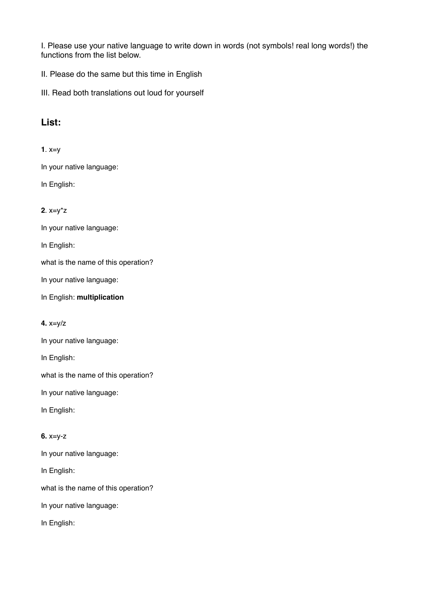I. Please use your native language to write down in words (not symbols! real long words!) the functions from the list below.

II. Please do the same but this time in English

III. Read both translations out loud for yourself

# **List:**

**1**. x=y

In your native language:

In English:

## **2**. x=y\*z

In your native language:

In English:

what is the name of this operation?

In your native language:

In English: **multiplication**

**4.** x=y/z

In your native language:

In English:

what is the name of this operation?

In your native language:

In English:

#### **6.** x=y-z

In your native language:

In English:

what is the name of this operation?

In your native language:

In English: